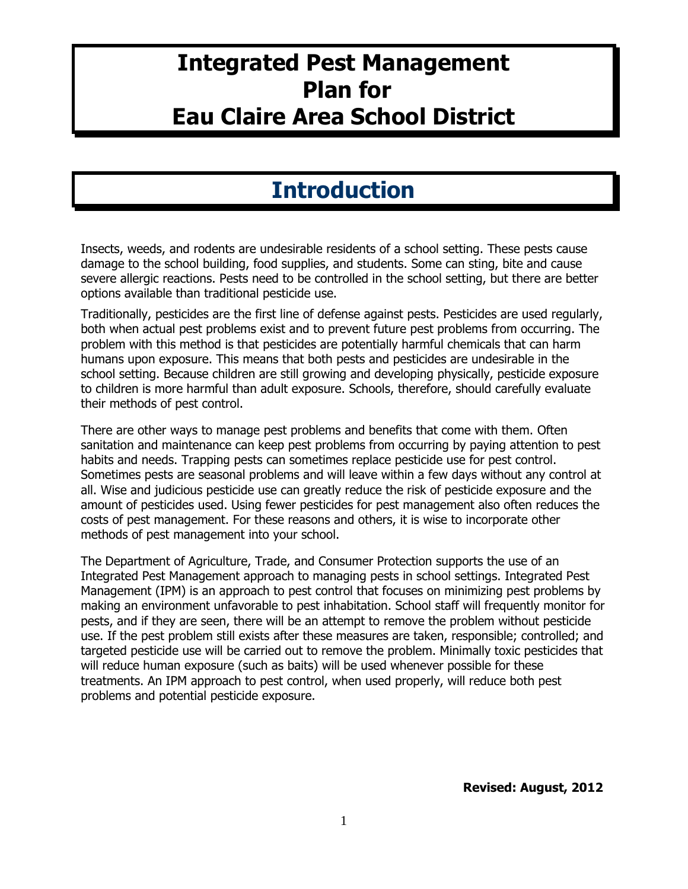# **Integrated Pest Management Plan for Eau Claire Area School District**

# **Introduction**

Insects, weeds, and rodents are undesirable residents of a school setting. These pests cause damage to the school building, food supplies, and students. Some can sting, bite and cause severe allergic reactions. Pests need to be controlled in the school setting, but there are better options available than traditional pesticide use.

Traditionally, pesticides are the first line of defense against pests. Pesticides are used regularly, both when actual pest problems exist and to prevent future pest problems from occurring. The problem with this method is that pesticides are potentially harmful chemicals that can harm humans upon exposure. This means that both pests and pesticides are undesirable in the school setting. Because children are still growing and developing physically, pesticide exposure to children is more harmful than adult exposure. Schools, therefore, should carefully evaluate their methods of pest control.

There are other ways to manage pest problems and benefits that come with them. Often sanitation and maintenance can keep pest problems from occurring by paying attention to pest habits and needs. Trapping pests can sometimes replace pesticide use for pest control. Sometimes pests are seasonal problems and will leave within a few days without any control at all. Wise and judicious pesticide use can greatly reduce the risk of pesticide exposure and the amount of pesticides used. Using fewer pesticides for pest management also often reduces the costs of pest management. For these reasons and others, it is wise to incorporate other methods of pest management into your school.

The Department of Agriculture, Trade, and Consumer Protection supports the use of an Integrated Pest Management approach to managing pests in school settings. Integrated Pest Management (IPM) is an approach to pest control that focuses on minimizing pest problems by making an environment unfavorable to pest inhabitation. School staff will frequently monitor for pests, and if they are seen, there will be an attempt to remove the problem without pesticide use. If the pest problem still exists after these measures are taken, responsible; controlled; and targeted pesticide use will be carried out to remove the problem. Minimally toxic pesticides that will reduce human exposure (such as baits) will be used whenever possible for these treatments. An IPM approach to pest control, when used properly, will reduce both pest problems and potential pesticide exposure.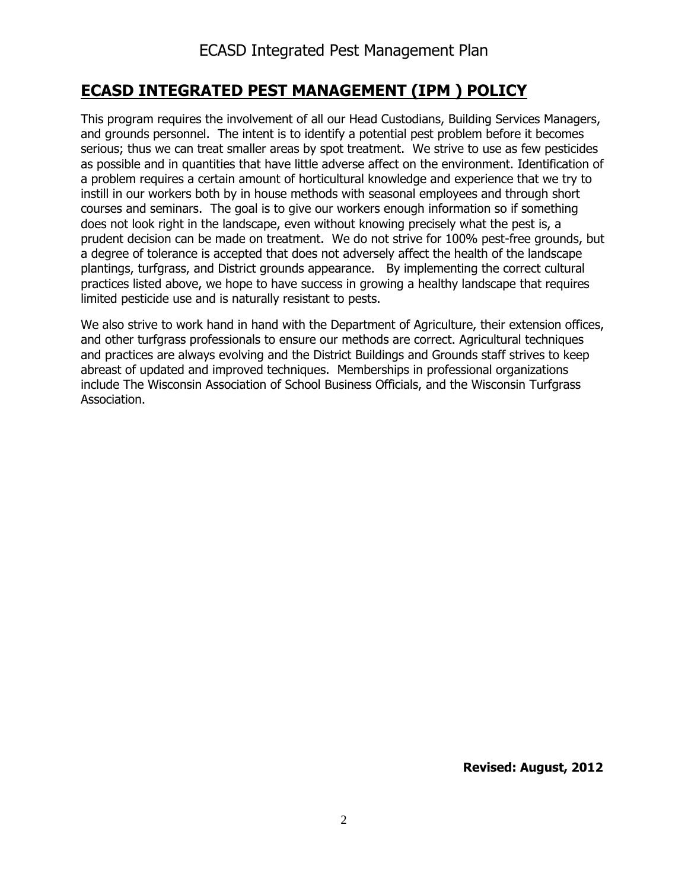## **ECASD INTEGRATED PEST MANAGEMENT (IPM ) POLICY**

This program requires the involvement of all our Head Custodians, Building Services Managers, and grounds personnel. The intent is to identify a potential pest problem before it becomes serious; thus we can treat smaller areas by spot treatment. We strive to use as few pesticides as possible and in quantities that have little adverse affect on the environment. Identification of a problem requires a certain amount of horticultural knowledge and experience that we try to instill in our workers both by in house methods with seasonal employees and through short courses and seminars. The goal is to give our workers enough information so if something does not look right in the landscape, even without knowing precisely what the pest is, a prudent decision can be made on treatment. We do not strive for 100% pest-free grounds, but a degree of tolerance is accepted that does not adversely affect the health of the landscape plantings, turfgrass, and District grounds appearance. By implementing the correct cultural practices listed above, we hope to have success in growing a healthy landscape that requires limited pesticide use and is naturally resistant to pests.

We also strive to work hand in hand with the Department of Agriculture, their extension offices, and other turfgrass professionals to ensure our methods are correct. Agricultural techniques and practices are always evolving and the District Buildings and Grounds staff strives to keep abreast of updated and improved techniques. Memberships in professional organizations include The Wisconsin Association of School Business Officials, and the Wisconsin Turfgrass Association.

 **Revised: August, 2012**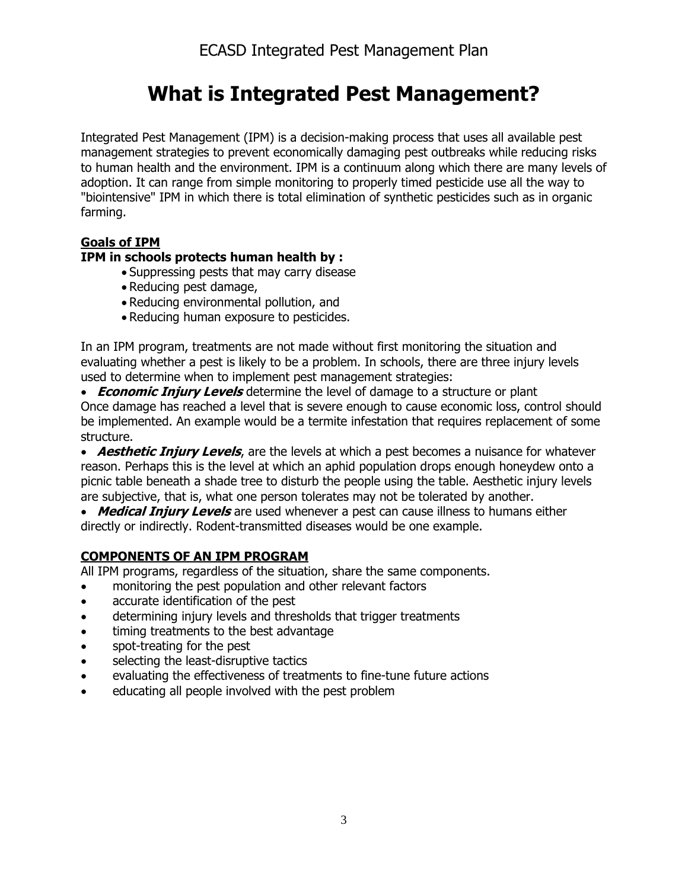# **What is Integrated Pest Management?**

Integrated Pest Management (IPM) is a decision-making process that uses all available pest management strategies to prevent economically damaging pest outbreaks while reducing risks to human health and the environment. IPM is a continuum along which there are many levels of adoption. It can range from simple monitoring to properly timed pesticide use all the way to "biointensive" IPM in which there is total elimination of synthetic pesticides such as in organic farming.

## **Goals of IPM**

## **IPM in schools protects human health by :**

- Suppressing pests that may carry disease
- Reducing pest damage,
- Reducing environmental pollution, and
- Reducing human exposure to pesticides.

In an IPM program, treatments are not made without first monitoring the situation and evaluating whether a pest is likely to be a problem. In schools, there are three injury levels used to determine when to implement pest management strategies:

 **Economic Injury Levels** determine the level of damage to a structure or plant Once damage has reached a level that is severe enough to cause economic loss, control should be implemented. An example would be a termite infestation that requires replacement of some structure.

**Aesthetic Injury Levels**, are the levels at which a pest becomes a nuisance for whatever reason. Perhaps this is the level at which an aphid population drops enough honeydew onto a picnic table beneath a shade tree to disturb the people using the table. Aesthetic injury levels are subjective, that is, what one person tolerates may not be tolerated by another.

 **Medical Injury Levels** are used whenever a pest can cause illness to humans either directly or indirectly. Rodent-transmitted diseases would be one example.

## **COMPONENTS OF AN IPM PROGRAM**

All IPM programs, regardless of the situation, share the same components.

- monitoring the pest population and other relevant factors
- accurate identification of the pest
- determining injury levels and thresholds that trigger treatments
- timing treatments to the best advantage
- spot-treating for the pest
- selecting the least-disruptive tactics
- evaluating the effectiveness of treatments to fine-tune future actions
- educating all people involved with the pest problem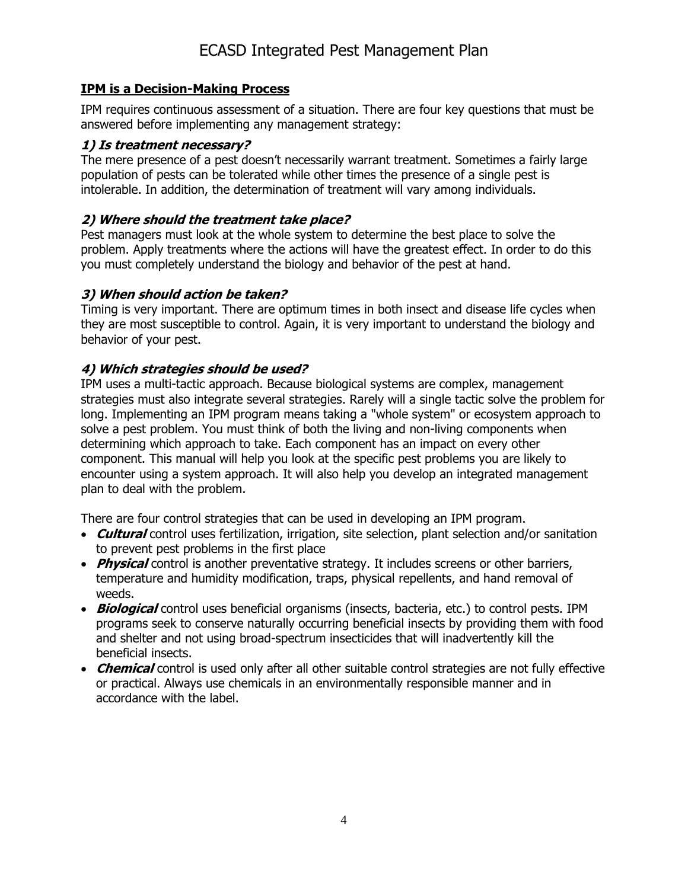### **IPM is a Decision-Making Process**

IPM requires continuous assessment of a situation. There are four key questions that must be answered before implementing any management strategy:

### **1) Is treatment necessary?**

The mere presence of a pest doesn't necessarily warrant treatment. Sometimes a fairly large population of pests can be tolerated while other times the presence of a single pest is intolerable. In addition, the determination of treatment will vary among individuals.

### **2) Where should the treatment take place?**

Pest managers must look at the whole system to determine the best place to solve the problem. Apply treatments where the actions will have the greatest effect. In order to do this you must completely understand the biology and behavior of the pest at hand.

### **3) When should action be taken?**

Timing is very important. There are optimum times in both insect and disease life cycles when they are most susceptible to control. Again, it is very important to understand the biology and behavior of your pest.

## **4) Which strategies should be used?**

IPM uses a multi-tactic approach. Because biological systems are complex, management strategies must also integrate several strategies. Rarely will a single tactic solve the problem for long. Implementing an IPM program means taking a "whole system" or ecosystem approach to solve a pest problem. You must think of both the living and non-living components when determining which approach to take. Each component has an impact on every other component. This manual will help you look at the specific pest problems you are likely to encounter using a system approach. It will also help you develop an integrated management plan to deal with the problem.

There are four control strategies that can be used in developing an IPM program.

- **Cultural** control uses fertilization, irrigation, site selection, plant selection and/or sanitation to prevent pest problems in the first place
- **Physical** control is another preventative strategy. It includes screens or other barriers, temperature and humidity modification, traps, physical repellents, and hand removal of weeds.
- **Biological** control uses beneficial organisms (insects, bacteria, etc.) to control pests. IPM programs seek to conserve naturally occurring beneficial insects by providing them with food and shelter and not using broad-spectrum insecticides that will inadvertently kill the beneficial insects.
- **Chemical** control is used only after all other suitable control strategies are not fully effective or practical. Always use chemicals in an environmentally responsible manner and in accordance with the label.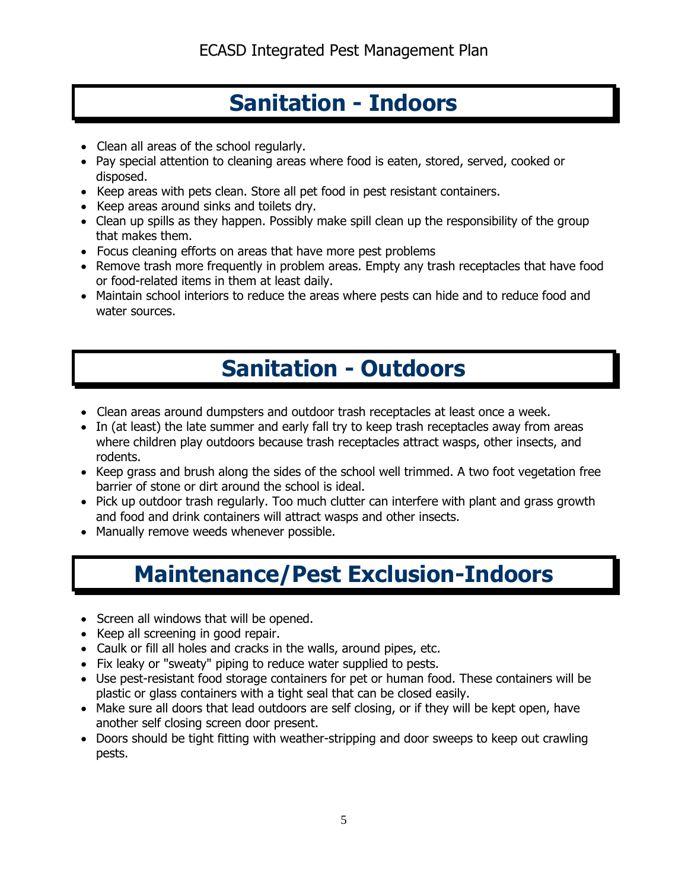# **Sanitation - Indoors**

- Clean all areas of the school regularly.
- Pay special attention to cleaning areas where food is eaten, stored, served, cooked or disposed.
- Keep areas with pets clean. Store all pet food in pest resistant containers.
- Keep areas around sinks and toilets dry.
- Clean up spills as they happen. Possibly make spill clean up the responsibility of the group that makes them.
- Focus cleaning efforts on areas that have more pest problems
- Remove trash more frequently in problem areas. Empty any trash receptacles that have food or food-related items in them at least daily.
- Maintain school interiors to reduce the areas where pests can hide and to reduce food and water sources.

# **Sanitation - Outdoors**

- Clean areas around dumpsters and outdoor trash receptacles at least once a week.
- In (at least) the late summer and early fall try to keep trash receptacles away from areas where children play outdoors because trash receptacles attract wasps, other insects, and rodents.
- Keep grass and brush along the sides of the school well trimmed. A two foot vegetation free barrier of stone or dirt around the school is ideal.
- Pick up outdoor trash regularly. Too much clutter can interfere with plant and grass growth and food and drink containers will attract wasps and other insects.
- Manually remove weeds whenever possible.

# **Maintenance/Pest Exclusion-Indoors**

- Screen all windows that will be opened.
- Keep all screening in good repair.
- Caulk or fill all holes and cracks in the walls, around pipes, etc.
- Fix leaky or "sweaty" piping to reduce water supplied to pests.
- Use pest-resistant food storage containers for pet or human food. These containers will be plastic or glass containers with a tight seal that can be closed easily.
- Make sure all doors that lead outdoors are self closing, or if they will be kept open, have another self closing screen door present.
- Doors should be tight fitting with weather-stripping and door sweeps to keep out crawling pests.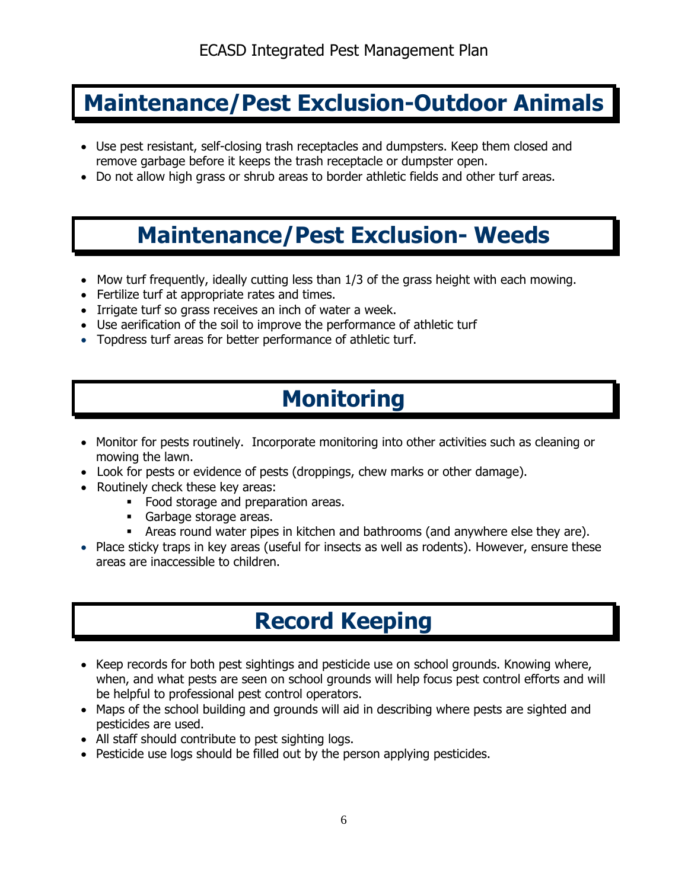# **Maintenance/Pest Exclusion-Outdoor Animals**

- Use pest resistant, self-closing trash receptacles and dumpsters. Keep them closed and remove garbage before it keeps the trash receptacle or dumpster open.
- Do not allow high grass or shrub areas to border athletic fields and other turf areas.

# **Maintenance/Pest Exclusion- Weeds**

- $\bullet$  Mow turf frequently, ideally cutting less than  $1/3$  of the grass height with each mowing.
- Fertilize turf at appropriate rates and times.
- Irrigate turf so grass receives an inch of water a week.
- Use aerification of the soil to improve the performance of athletic turf
- Topdress turf areas for better performance of athletic turf.

# **Monitoring**

- Monitor for pests routinely. Incorporate monitoring into other activities such as cleaning or mowing the lawn.
- Look for pests or evidence of pests (droppings, chew marks or other damage).
- Routinely check these key areas:
	- Food storage and preparation areas.
	- Garbage storage areas.
	- Areas round water pipes in kitchen and bathrooms (and anywhere else they are).
- Place sticky traps in key areas (useful for insects as well as rodents). However, ensure these areas are inaccessible to children.

# **Record Keeping**

- Keep records for both pest sightings and pesticide use on school grounds. Knowing where, when, and what pests are seen on school grounds will help focus pest control efforts and will be helpful to professional pest control operators.
- Maps of the school building and grounds will aid in describing where pests are sighted and pesticides are used.
- All staff should contribute to pest sighting logs.
- Pesticide use logs should be filled out by the person applying pesticides.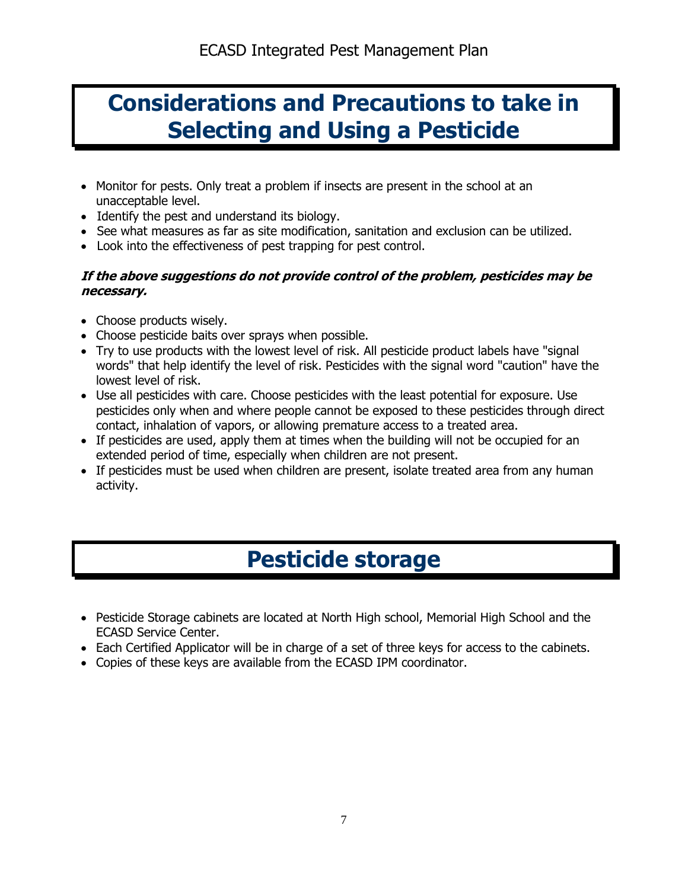# **Considerations and Precautions to take in Selecting and Using a Pesticide**

- Monitor for pests. Only treat a problem if insects are present in the school at an unacceptable level.
- Identify the pest and understand its biology.
- See what measures as far as site modification, sanitation and exclusion can be utilized.
- Look into the effectiveness of pest trapping for pest control.

### **If the above suggestions do not provide control of the problem, pesticides may be necessary.**

- Choose products wisely.
- Choose pesticide baits over sprays when possible.
- Try to use products with the lowest level of risk. All pesticide product labels have "signal words" that help identify the level of risk. Pesticides with the signal word "caution" have the lowest level of risk.
- Use all pesticides with care. Choose pesticides with the least potential for exposure. Use pesticides only when and where people cannot be exposed to these pesticides through direct contact, inhalation of vapors, or allowing premature access to a treated area.
- If pesticides are used, apply them at times when the building will not be occupied for an extended period of time, especially when children are not present.
- If pesticides must be used when children are present, isolate treated area from any human activity.

# **Pesticide storage**

- Pesticide Storage cabinets are located at North High school, Memorial High School and the ECASD Service Center.
- Each Certified Applicator will be in charge of a set of three keys for access to the cabinets.
- Copies of these keys are available from the ECASD IPM coordinator.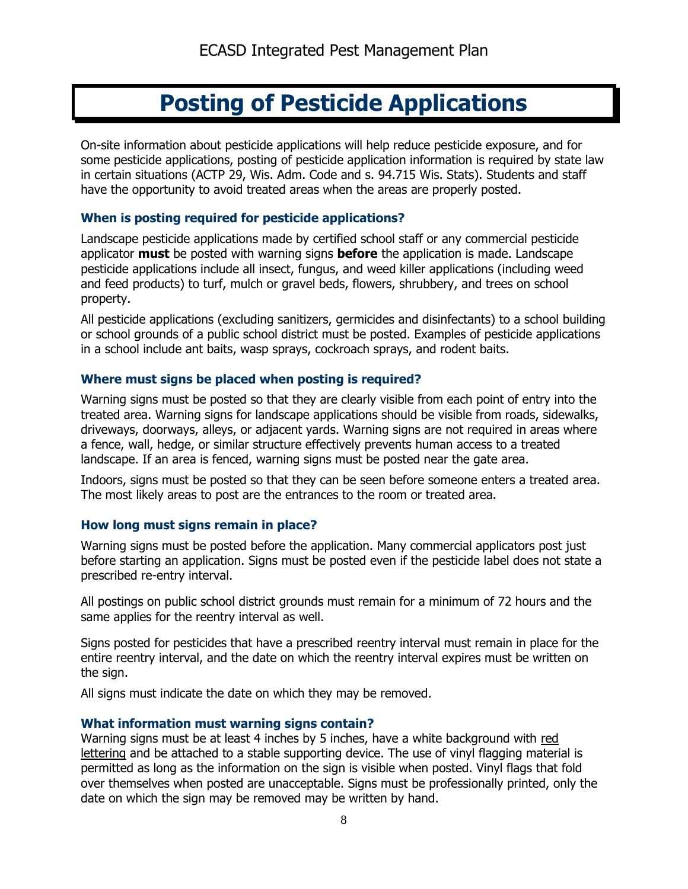# **Posting of Pesticide Applications**

On-site information about pesticide applications will help reduce pesticide exposure, and for some pesticide applications, posting of pesticide application information is required by state law in certain situations (ACTP 29, Wis. Adm. Code and s. 94.715 Wis. Stats). Students and staff have the opportunity to avoid treated areas when the areas are properly posted.

#### **When is posting required for pesticide applications?**

Landscape pesticide applications made by certified school staff or any commercial pesticide applicator **must** be posted with warning signs **before** the application is made. Landscape pesticide applications include all insect, fungus, and weed killer applications (including weed and feed products) to turf, mulch or gravel beds, flowers, shrubbery, and trees on school property.

All pesticide applications (excluding sanitizers, germicides and disinfectants) to a school building or school grounds of a public school district must be posted. Examples of pesticide applications in a school include ant baits, wasp sprays, cockroach sprays, and rodent baits.

#### **Where must signs be placed when posting is required?**

Warning signs must be posted so that they are clearly visible from each point of entry into the treated area. Warning signs for landscape applications should be visible from roads, sidewalks, driveways, doorways, alleys, or adjacent yards. Warning signs are not required in areas where a fence, wall, hedge, or similar structure effectively prevents human access to a treated landscape. If an area is fenced, warning signs must be posted near the gate area.

Indoors, signs must be posted so that they can be seen before someone enters a treated area. The most likely areas to post are the entrances to the room or treated area.

#### **How long must signs remain in place?**

Warning signs must be posted before the application. Many commercial applicators post just before starting an application. Signs must be posted even if the pesticide label does not state a prescribed re-entry interval.

All postings on public school district grounds must remain for a minimum of 72 hours and the same applies for the reentry interval as well.

Signs posted for pesticides that have a prescribed reentry interval must remain in place for the entire reentry interval, and the date on which the reentry interval expires must be written on the sign.

All signs must indicate the date on which they may be removed.

#### **What information must warning signs contain?**

Warning signs must be at least 4 inches by 5 inches, have a white background with red lettering and be attached to a stable supporting device. The use of vinyl flagging material is permitted as long as the information on the sign is visible when posted. Vinyl flags that fold over themselves when posted are unacceptable. Signs must be professionally printed, only the date on which the sign may be removed may be written by hand.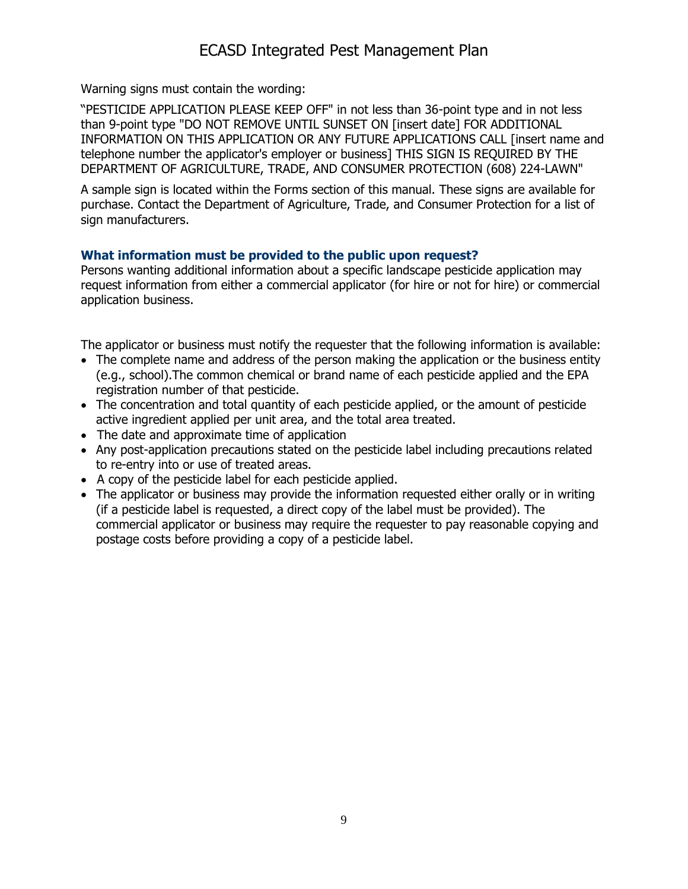# ECASD Integrated Pest Management Plan

Warning signs must contain the wording:

"PESTICIDE APPLICATION PLEASE KEEP OFF" in not less than 36-point type and in not less than 9-point type "DO NOT REMOVE UNTIL SUNSET ON [insert date] FOR ADDITIONAL INFORMATION ON THIS APPLICATION OR ANY FUTURE APPLICATIONS CALL [insert name and telephone number the applicator's employer or business] THIS SIGN IS REQUIRED BY THE DEPARTMENT OF AGRICULTURE, TRADE, AND CONSUMER PROTECTION (608) 224-LAWN"

A sample sign is located within the Forms section of this manual. These signs are available for purchase. Contact the Department of Agriculture, Trade, and Consumer Protection for a list of sign manufacturers.

### **What information must be provided to the public upon request?**

Persons wanting additional information about a specific landscape pesticide application may request information from either a commercial applicator (for hire or not for hire) or commercial application business.

The applicator or business must notify the requester that the following information is available:

- The complete name and address of the person making the application or the business entity (e.g., school).The common chemical or brand name of each pesticide applied and the EPA registration number of that pesticide.
- The concentration and total quantity of each pesticide applied, or the amount of pesticide active ingredient applied per unit area, and the total area treated.
- The date and approximate time of application
- Any post-application precautions stated on the pesticide label including precautions related to re-entry into or use of treated areas.
- A copy of the pesticide label for each pesticide applied.
- The applicator or business may provide the information requested either orally or in writing (if a pesticide label is requested, a direct copy of the label must be provided). The commercial applicator or business may require the requester to pay reasonable copying and postage costs before providing a copy of a pesticide label.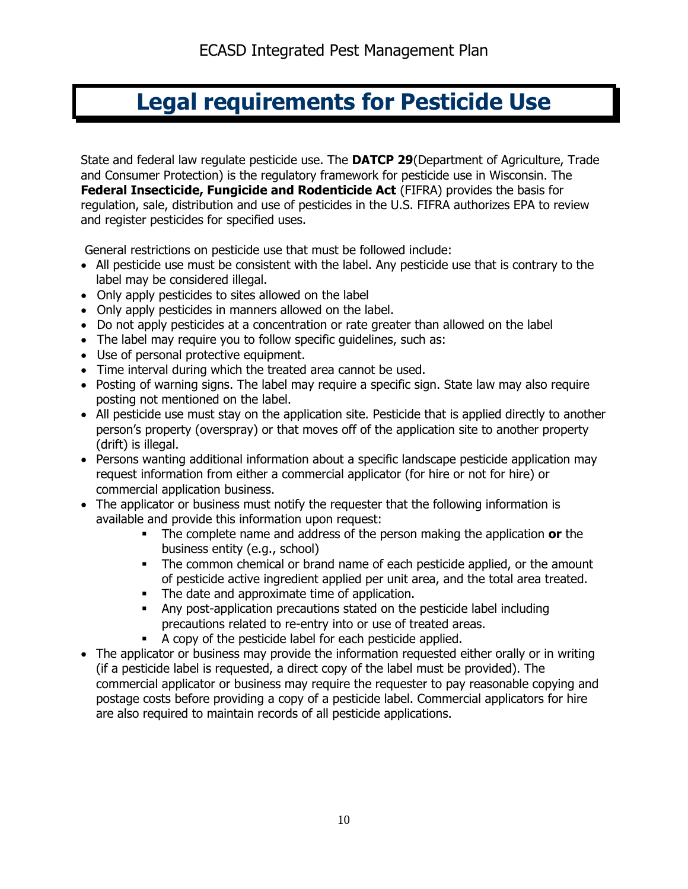# **Legal requirements for Pesticide Use**

State and federal law regulate pesticide use. The **DATCP 29**(Department of Agriculture, Trade and Consumer Protection) is the regulatory framework for pesticide use in Wisconsin. The **Federal Insecticide, Fungicide and Rodenticide Act** (FIFRA) provides the basis for regulation, sale, distribution and use of pesticides in the U.S. FIFRA authorizes EPA to review and register pesticides for specified uses.

General restrictions on pesticide use that must be followed include:

- All pesticide use must be consistent with the label. Any pesticide use that is contrary to the label may be considered illegal.
- Only apply pesticides to sites allowed on the label
- Only apply pesticides in manners allowed on the label.
- Do not apply pesticides at a concentration or rate greater than allowed on the label
- The label may require you to follow specific quidelines, such as:
- Use of personal protective equipment.
- Time interval during which the treated area cannot be used.
- Posting of warning signs. The label may require a specific sign. State law may also require posting not mentioned on the label.
- All pesticide use must stay on the application site. Pesticide that is applied directly to another person's property (overspray) or that moves off of the application site to another property (drift) is illegal.
- Persons wanting additional information about a specific landscape pesticide application may request information from either a commercial applicator (for hire or not for hire) or commercial application business.
- The applicator or business must notify the requester that the following information is available and provide this information upon request:
	- The complete name and address of the person making the application **or** the business entity (e.g., school)
	- The common chemical or brand name of each pesticide applied, or the amount of pesticide active ingredient applied per unit area, and the total area treated.
	- The date and approximate time of application.
	- Any post-application precautions stated on the pesticide label including precautions related to re-entry into or use of treated areas.
	- A copy of the pesticide label for each pesticide applied.
- The applicator or business may provide the information requested either orally or in writing (if a pesticide label is requested, a direct copy of the label must be provided). The commercial applicator or business may require the requester to pay reasonable copying and postage costs before providing a copy of a pesticide label. Commercial applicators for hire are also required to maintain records of all pesticide applications.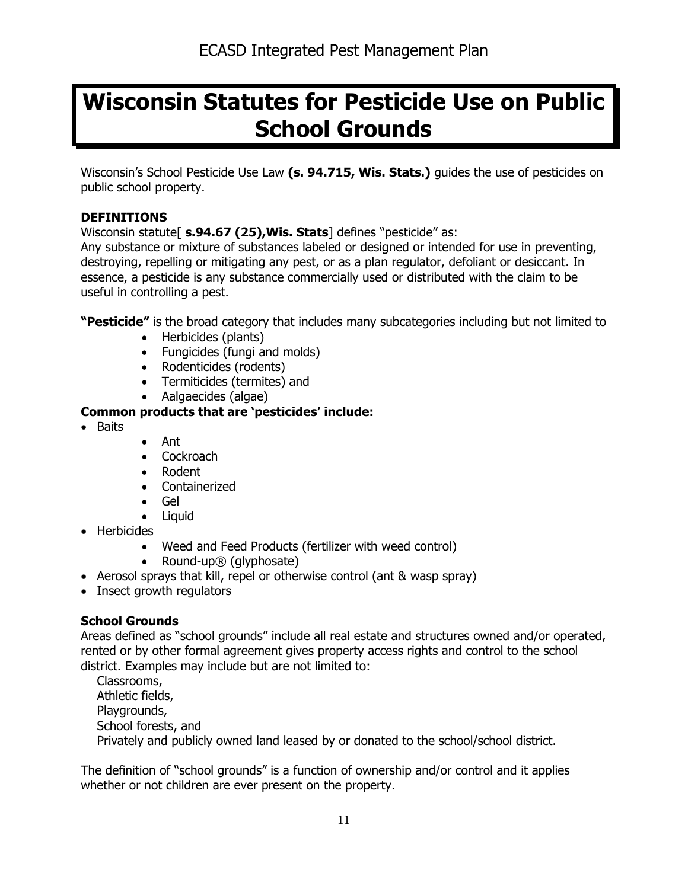# **Wisconsin Statutes for Pesticide Use on Public School Grounds**

Wisconsin's School Pesticide Use Law **(s. 94.715, Wis. Stats.)** guides the use of pesticides on public school property.

### **DEFINITIONS**

Wisconsin statute[ **s.94.67 (25),Wis. Stats**] defines "pesticide" as:

Any substance or mixture of substances labeled or designed or intended for use in preventing, destroying, repelling or mitigating any pest, or as a plan regulator, defoliant or desiccant. In essence, a pesticide is any substance commercially used or distributed with the claim to be useful in controlling a pest.

**"Pesticide"** is the broad category that includes many subcategories including but not limited to

- Herbicides (plants)
- Fungicides (fungi and molds)
- Rodenticides (rodents)
- Termiticides (termites) and
- Aalgaecides (algae)

## **Common products that are 'pesticides' include:**

- Baits
- Ant
- Cockroach
- Rodent
- Containerized
- Gel
- Liquid
- Herbicides
	- Weed and Feed Products (fertilizer with weed control)
	- Round-up® (glyphosate)
- Aerosol sprays that kill, repel or otherwise control (ant & wasp spray)
- Insect growth regulators

## **School Grounds**

Areas defined as "school grounds" include all real estate and structures owned and/or operated, rented or by other formal agreement gives property access rights and control to the school district. Examples may include but are not limited to:

Classrooms, Athletic fields, Playgrounds, School forests, and Privately and publicly owned land leased by or donated to the school/school district.

The definition of "school grounds" is a function of ownership and/or control and it applies whether or not children are ever present on the property.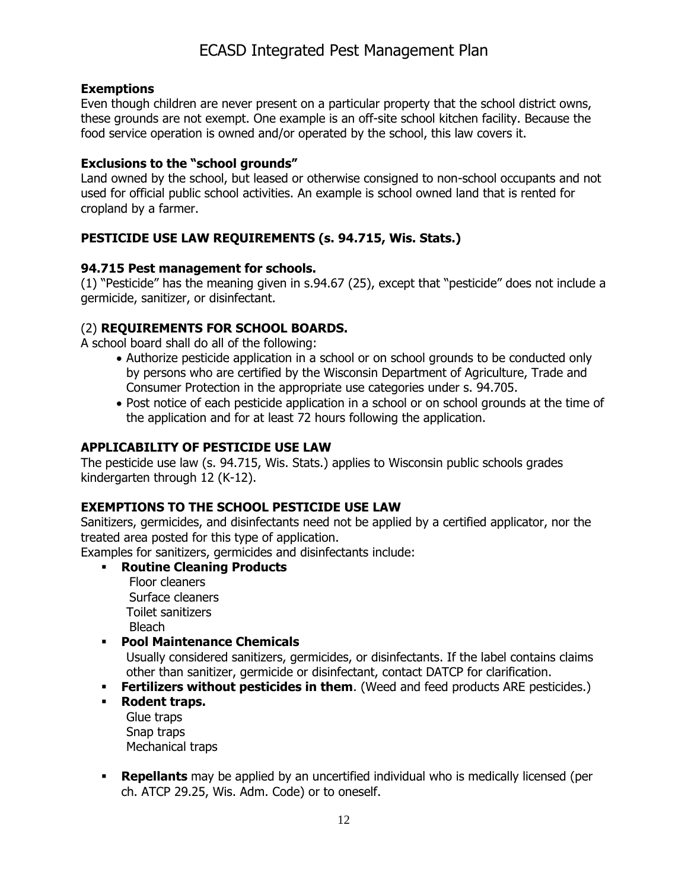### **Exemptions**

Even though children are never present on a particular property that the school district owns, these grounds are not exempt. One example is an off-site school kitchen facility. Because the food service operation is owned and/or operated by the school, this law covers it.

### **Exclusions to the "school grounds"**

Land owned by the school, but leased or otherwise consigned to non-school occupants and not used for official public school activities. An example is school owned land that is rented for cropland by a farmer.

## **PESTICIDE USE LAW REQUIREMENTS (s. 94.715, Wis. Stats.)**

### **94.715 Pest management for schools.**

(1) "Pesticide" has the meaning given in s.94.67 (25), except that "pesticide" does not include a germicide, sanitizer, or disinfectant.

### (2) **REQUIREMENTS FOR SCHOOL BOARDS.**

A school board shall do all of the following:

- Authorize pesticide application in a school or on school grounds to be conducted only by persons who are certified by the Wisconsin Department of Agriculture, Trade and Consumer Protection in the appropriate use categories under s. 94.705.
- Post notice of each pesticide application in a school or on school grounds at the time of the application and for at least 72 hours following the application.

### **APPLICABILITY OF PESTICIDE USE LAW**

The pesticide use law (s. 94.715, Wis. Stats.) applies to Wisconsin public schools grades kindergarten through 12 (K-12).

### **EXEMPTIONS TO THE SCHOOL PESTICIDE USE LAW**

Sanitizers, germicides, and disinfectants need not be applied by a certified applicator, nor the treated area posted for this type of application.

Examples for sanitizers, germicides and disinfectants include:

**Routine Cleaning Products**

Floor cleaners Surface cleaners Toilet sanitizers Bleach

**Pool Maintenance Chemicals** 

Usually considered sanitizers, germicides, or disinfectants. If the label contains claims other than sanitizer, germicide or disinfectant, contact DATCP for clarification.

- **Fertilizers without pesticides in them.** (Weed and feed products ARE pesticides.)
- **Rodent traps.**

Glue traps Snap traps Mechanical traps

**Repellants** may be applied by an uncertified individual who is medically licensed (per ch. ATCP 29.25, Wis. Adm. Code) or to oneself.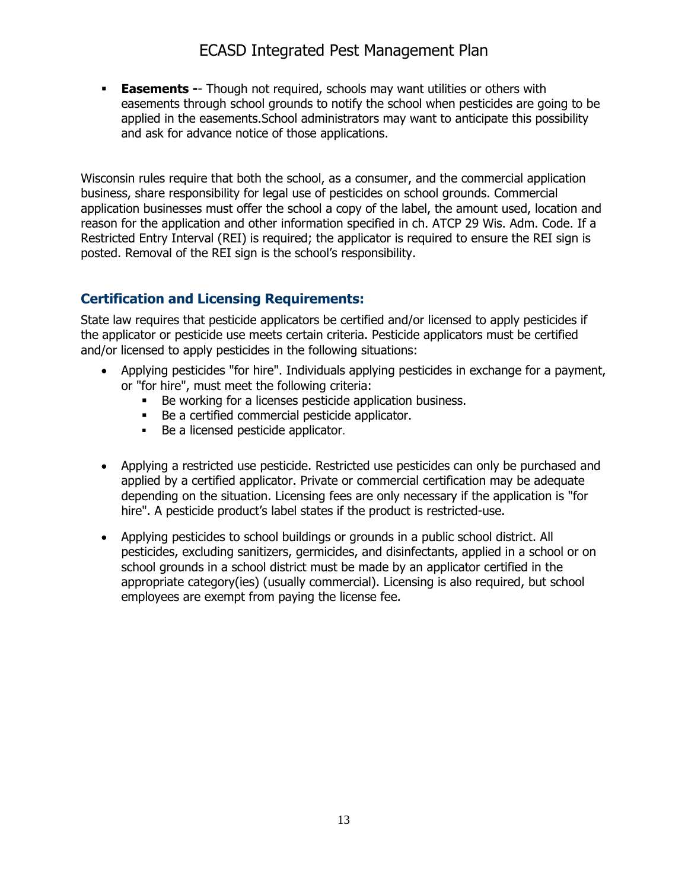# ECASD Integrated Pest Management Plan

**Easements --** Though not required, schools may want utilities or others with easements through school grounds to notify the school when pesticides are going to be applied in the easements.School administrators may want to anticipate this possibility and ask for advance notice of those applications.

Wisconsin rules require that both the school, as a consumer, and the commercial application business, share responsibility for legal use of pesticides on school grounds. Commercial application businesses must offer the school a copy of the label, the amount used, location and reason for the application and other information specified in ch. ATCP 29 Wis. Adm. Code. If a Restricted Entry Interval (REI) is required; the applicator is required to ensure the REI sign is posted. Removal of the REI sign is the school's responsibility.

## **Certification and Licensing Requirements:**

State law requires that pesticide applicators be certified and/or licensed to apply pesticides if the applicator or pesticide use meets certain criteria. Pesticide applicators must be certified and/or licensed to apply pesticides in the following situations:

- Applying pesticides "for hire". Individuals applying pesticides in exchange for a payment, or "for hire", must meet the following criteria:
	- Be working for a licenses pesticide application business.
	- Be a certified commercial pesticide applicator.
	- Be a licensed pesticide applicator.
- Applying a restricted use pesticide. Restricted use pesticides can only be purchased and applied by a certified applicator. Private or commercial certification may be adequate depending on the situation. Licensing fees are only necessary if the application is "for hire". A pesticide product's label states if the product is restricted-use.
- Applying pesticides to school buildings or grounds in a public school district. All pesticides, excluding sanitizers, germicides, and disinfectants, applied in a school or on school grounds in a school district must be made by an applicator certified in the appropriate category(ies) (usually commercial). Licensing is also required, but school employees are exempt from paying the license fee.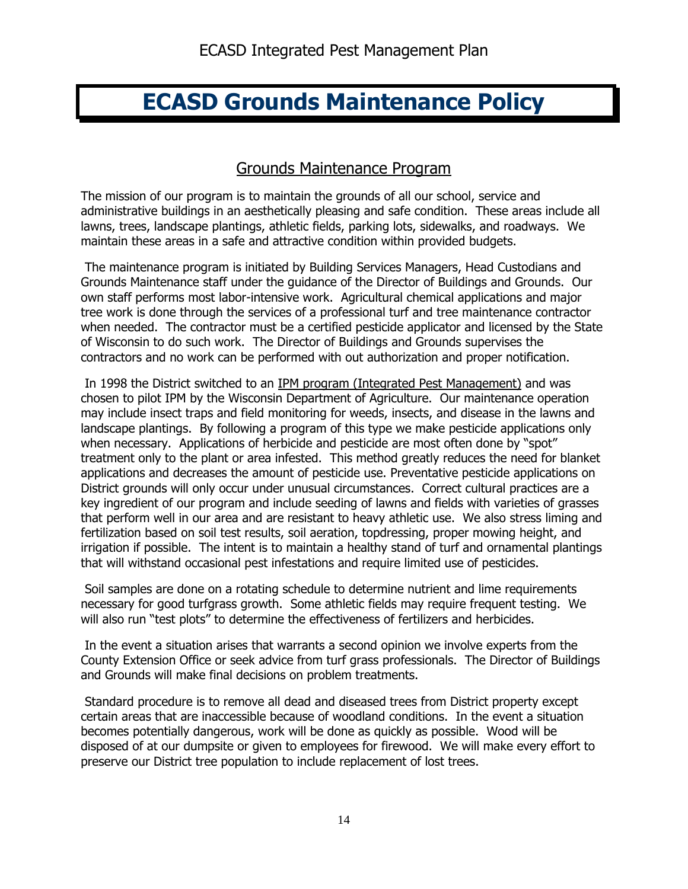# **ECASD Grounds Maintenance Policy**

## Grounds Maintenance Program

The mission of our program is to maintain the grounds of all our school, service and administrative buildings in an aesthetically pleasing and safe condition. These areas include all lawns, trees, landscape plantings, athletic fields, parking lots, sidewalks, and roadways. We maintain these areas in a safe and attractive condition within provided budgets.

The maintenance program is initiated by Building Services Managers, Head Custodians and Grounds Maintenance staff under the guidance of the Director of Buildings and Grounds. Our own staff performs most labor-intensive work. Agricultural chemical applications and major tree work is done through the services of a professional turf and tree maintenance contractor when needed. The contractor must be a certified pesticide applicator and licensed by the State of Wisconsin to do such work. The Director of Buildings and Grounds supervises the contractors and no work can be performed with out authorization and proper notification.

In 1998 the District switched to an [IPM program \(Integrated Pest Management\)](http://www.ecasd.k12.wi.us/departments/business/build/grounds/ipm.html) and was chosen to pilot IPM by the Wisconsin Department of Agriculture. Our maintenance operation may include insect traps and field monitoring for weeds, insects, and disease in the lawns and landscape plantings. By following a program of this type we make pesticide applications only when necessary. Applications of herbicide and pesticide are most often done by "spot" treatment only to the plant or area infested. This method greatly reduces the need for blanket applications and decreases the amount of pesticide use. Preventative pesticide applications on District grounds will only occur under unusual circumstances. Correct cultural practices are a key ingredient of our program and include seeding of lawns and fields with varieties of grasses that perform well in our area and are resistant to heavy athletic use. We also stress liming and fertilization based on soil test results, soil aeration, topdressing, proper mowing height, and irrigation if possible. The intent is to maintain a healthy stand of turf and ornamental plantings that will withstand occasional pest infestations and require limited use of pesticides.

Soil samples are done on a rotating schedule to determine nutrient and lime requirements necessary for good turfgrass growth. Some athletic fields may require frequent testing. We will also run "test plots" to determine the effectiveness of fertilizers and herbicides.

In the event a situation arises that warrants a second opinion we involve experts from the County Extension Office or seek advice from turf grass professionals. The Director of Buildings and Grounds will make final decisions on problem treatments.

Standard procedure is to remove all dead and diseased trees from District property except certain areas that are inaccessible because of woodland conditions. In the event a situation becomes potentially dangerous, work will be done as quickly as possible. Wood will be disposed of at our dumpsite or given to employees for firewood. We will make every effort to preserve our District tree population to include replacement of lost trees.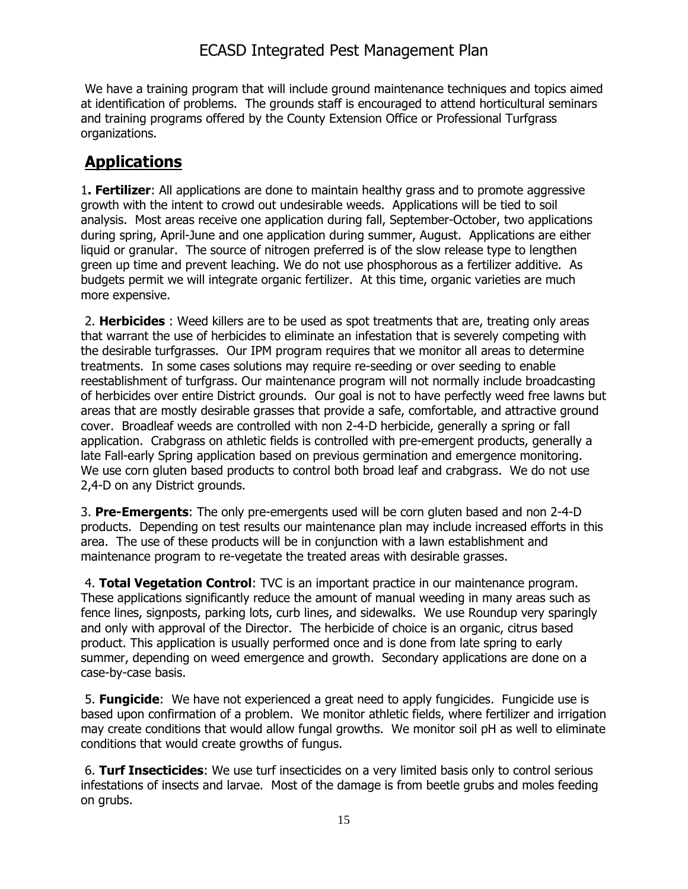# ECASD Integrated Pest Management Plan

We have a training program that will include ground maintenance techniques and topics aimed at identification of problems. The grounds staff is encouraged to attend horticultural seminars and training programs offered by the County Extension Office or Professional Turfgrass organizations.

# **Applications**

1**. Fertilizer**: All applications are done to maintain healthy grass and to promote aggressive growth with the intent to crowd out undesirable weeds. Applications will be tied to soil analysis. Most areas receive one application during fall, September-October, two applications during spring, April-June and one application during summer, August. Applications are either liquid or granular. The source of nitrogen preferred is of the slow release type to lengthen green up time and prevent leaching. We do not use phosphorous as a fertilizer additive. As budgets permit we will integrate organic fertilizer. At this time, organic varieties are much more expensive.

2. **Herbicides** : Weed killers are to be used as spot treatments that are, treating only areas that warrant the use of herbicides to eliminate an infestation that is severely competing with the desirable turfgrasses. Our IPM program requires that we monitor all areas to determine treatments. In some cases solutions may require re-seeding or over seeding to enable reestablishment of turfgrass. Our maintenance program will not normally include broadcasting of herbicides over entire District grounds. Our goal is not to have perfectly weed free lawns but areas that are mostly desirable grasses that provide a safe, comfortable, and attractive ground cover. Broadleaf weeds are controlled with non 2-4-D herbicide, generally a spring or fall application. Crabgrass on athletic fields is controlled with pre-emergent products, generally a late Fall-early Spring application based on previous germination and emergence monitoring. We use corn gluten based products to control both broad leaf and crabgrass. We do not use 2,4-D on any District grounds.

3. **Pre-Emergents**: The only pre-emergents used will be corn gluten based and non 2-4-D products. Depending on test results our maintenance plan may include increased efforts in this area. The use of these products will be in conjunction with a lawn establishment and maintenance program to re-vegetate the treated areas with desirable grasses.

4. **Total Vegetation Control**: TVC is an important practice in our maintenance program. These applications significantly reduce the amount of manual weeding in many areas such as fence lines, signposts, parking lots, curb lines, and sidewalks. We use Roundup very sparingly and only with approval of the Director. The herbicide of choice is an organic, citrus based product. This application is usually performed once and is done from late spring to early summer, depending on weed emergence and growth. Secondary applications are done on a case-by-case basis.

5. **Fungicide**: We have not experienced a great need to apply fungicides. Fungicide use is based upon confirmation of a problem. We monitor athletic fields, where fertilizer and irrigation may create conditions that would allow fungal growths. We monitor soil pH as well to eliminate conditions that would create growths of fungus.

6. **Turf Insecticides**: We use turf insecticides on a very limited basis only to control serious infestations of insects and larvae. Most of the damage is from beetle grubs and moles feeding on grubs.